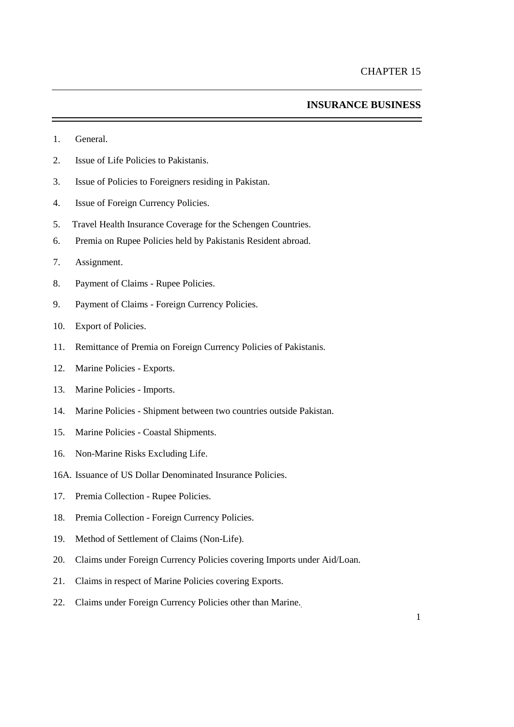## **INSURANCE BUSINESS**

- 1. General.
- 2. Issue of Life Policies to Pakistanis.
- 3. Issue of Policies to Foreigners residing in Pakistan.
- 4. Issue of Foreign Currency Policies.
- 5. Travel Health Insurance Coverage for the Schengen Countries.
- 6. Premia on Rupee Policies held by Pakistanis Resident abroad.
- 7. Assignment.
- 8. Payment of Claims Rupee Policies.
- 9. Payment of Claims Foreign Currency Policies.
- 10. Export of Policies.
- 11. Remittance of Premia on Foreign Currency Policies of Pakistanis.
- 12. Marine Policies Exports.
- 13. Marine Policies Imports.
- 14. Marine Policies Shipment between two countries outside Pakistan.
- 15. Marine Policies Coastal Shipments.
- 16. Non-Marine Risks Excluding Life.
- 16A. Issuance of US Dollar Denominated Insurance Policies.
- 17. Premia Collection Rupee Policies.
- 18. Premia Collection Foreign Currency Policies.
- 19. Method of Settlement of Claims (Non-Life).
- 20. Claims under Foreign Currency Policies covering Imports under Aid/Loan.
- 21. Claims in respect of Marine Policies covering Exports.
- 22. Claims under Foreign Currency Policies other than Marine.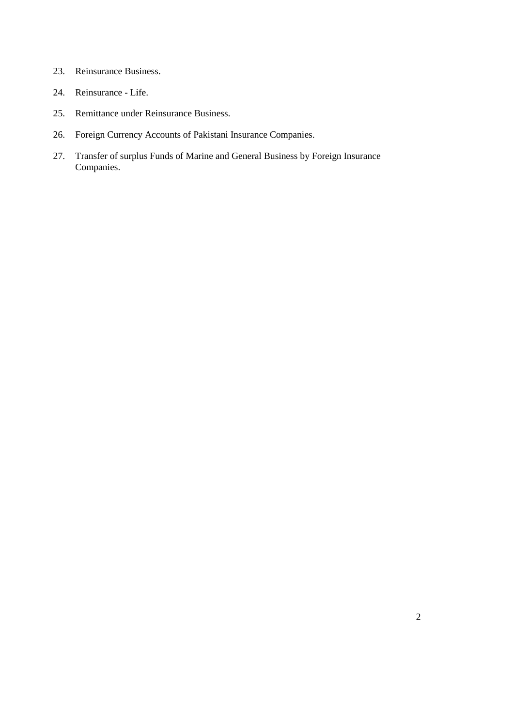- 23. Reinsurance Business.
- 24. Reinsurance Life.
- 25. Remittance under Reinsurance Business.
- 26. Foreign Currency Accounts of Pakistani Insurance Companies.
- 27. Transfer of surplus Funds of Marine and General Business by Foreign Insurance Companies.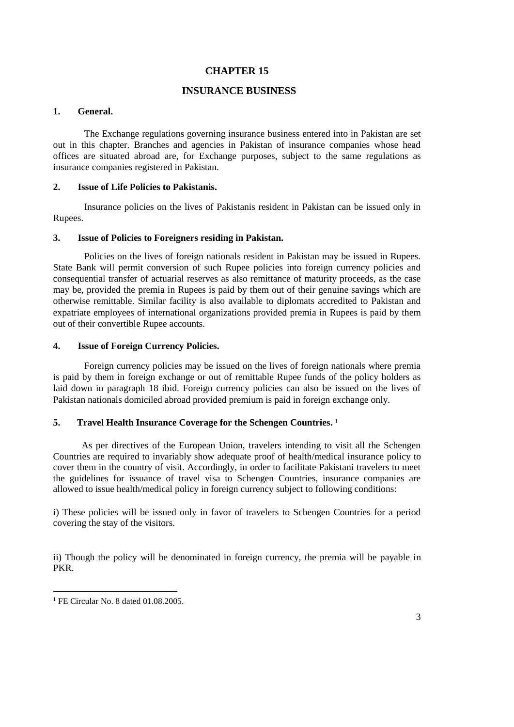# **CHAPTER 15**

# **INSURANCE BUSINESS**

#### **1. General.**

The Exchange regulations governing insurance business entered into in Pakistan are set out in this chapter. Branches and agencies in Pakistan of insurance companies whose head offices are situated abroad are, for Exchange purposes, subject to the same regulations as insurance companies registered in Pakistan.

## **2. Issue of Life Policies to Pakistanis.**

Insurance policies on the lives of Pakistanis resident in Pakistan can be issued only in Rupees.

#### **3. Issue of Policies to Foreigners residing in Pakistan.**

Policies on the lives of foreign nationals resident in Pakistan may be issued in Rupees. State Bank will permit conversion of such Rupee policies into foreign currency policies and consequential transfer of actuarial reserves as also remittance of maturity proceeds, as the case may be, provided the premia in Rupees is paid by them out of their genuine savings which are otherwise remittable. Similar facility is also available to diplomats accredited to Pakistan and expatriate employees of international organizations provided premia in Rupees is paid by them out of their convertible Rupee accounts.

### **4. Issue of Foreign Currency Policies.**

Foreign currency policies may be issued on the lives of foreign nationals where premia is paid by them in foreign exchange or out of remittable Rupee funds of the policy holders as laid down in paragraph 18 ibid. Foreign currency policies can also be issued on the lives of Pakistan nationals domiciled abroad provided premium is paid in foreign exchange only.

### **5. Travel Health Insurance Coverage for the Schengen Countries.** 1

As per directives of the European Union, travelers intending to visit all the Schengen Countries are required to invariably show adequate proof of health/medical insurance policy to cover them in the country of visit. Accordingly, in order to facilitate Pakistani travelers to meet the guidelines for issuance of travel visa to Schengen Countries, insurance companies are allowed to issue health/medical policy in foreign currency subject to following conditions:

i) These policies will be issued only in favor of travelers to Schengen Countries for a period covering the stay of the visitors.

ii) Though the policy will be denominated in foreign currency, the premia will be payable in PKR.

 $\overline{a}$ 

<sup>&</sup>lt;sup>1</sup> FE Circular No. 8 dated 01.08.2005.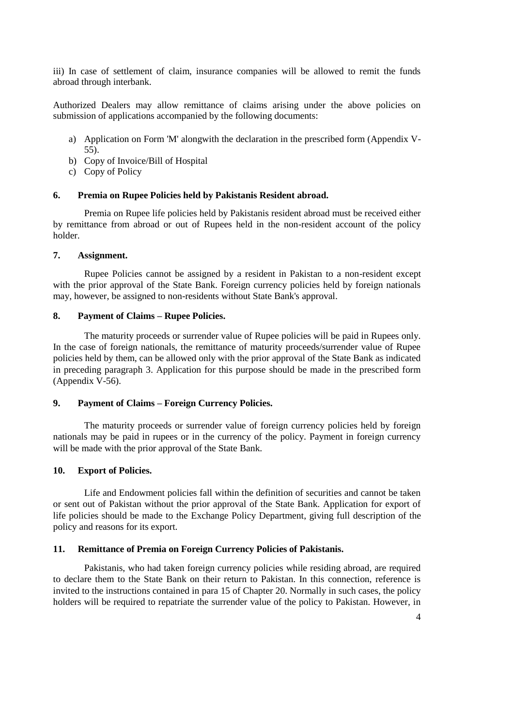iii) In case of settlement of claim, insurance companies will be allowed to remit the funds abroad through interbank.

Authorized Dealers may allow remittance of claims arising under the above policies on submission of applications accompanied by the following documents:

- a) Application on Form 'M' alongwith the declaration in the prescribed form (Appendix V-55).
- b) Copy of Invoice/Bill of Hospital
- c) Copy of Policy

## **6. Premia on Rupee Policies held by Pakistanis Resident abroad.**

Premia on Rupee life policies held by Pakistanis resident abroad must be received either by remittance from abroad or out of Rupees held in the non-resident account of the policy holder.

## **7. Assignment.**

Rupee Policies cannot be assigned by a resident in Pakistan to a non-resident except with the prior approval of the State Bank. Foreign currency policies held by foreign nationals may, however, be assigned to non-residents without State Bank's approval.

## **8. Payment of Claims – Rupee Policies.**

The maturity proceeds or surrender value of Rupee policies will be paid in Rupees only. In the case of foreign nationals, the remittance of maturity proceeds/surrender value of Rupee policies held by them, can be allowed only with the prior approval of the State Bank as indicated in preceding paragraph 3. Application for this purpose should be made in the prescribed form [\(Appendix](../../../shafiqur%20rehman/AppData/Local/Microsoft/Windows/Temporary%20Internet%20Files/appendix%20files/appendix%205/ap5-60.htm) V-56).

## **9. Payment of Claims – Foreign Currency Policies.**

The maturity proceeds or surrender value of foreign currency policies held by foreign nationals may be paid in rupees or in the currency of the policy. Payment in foreign currency will be made with the prior approval of the State Bank.

## **10. Export of Policies.**

Life and Endowment policies fall within the definition of securities and cannot be taken or sent out of Pakistan without the prior approval of the State Bank. Application for export of life policies should be made to the Exchange Policy Department, giving full description of the policy and reasons for its export.

#### **11. Remittance of Premia on Foreign Currency Policies of Pakistanis.**

Pakistanis, who had taken foreign currency policies while residing abroad, are required to declare them to the State Bank on their return to Pakistan. In this connection, reference is invited to the instructions contained in [para 15 of Chapter 2](../../../shafiqur%20rehman/AppData/Local/Microsoft/Windows/Temporary%20Internet%20Files/Content.Outlook/chapter20.htm#Bullet13)0. Normally in such cases, the policy holders will be required to repatriate the surrender value of the policy to Pakistan. However, in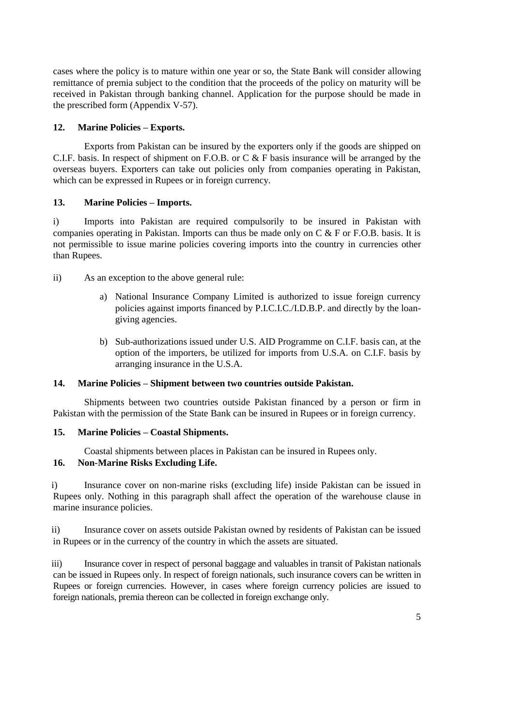cases where the policy is to mature within one year or so, the State Bank will consider allowing remittance of premia subject to the condition that the proceeds of the policy on maturity will be received in Pakistan through banking channel. Application for the purpose should be made in the prescribed form [\(Appendix](../../../shafiqur%20rehman/AppData/Local/Microsoft/Windows/Temporary%20Internet%20Files/appendix%20files/appendix%205/ap5-61.htm) V-57).

# **12. Marine Policies – Exports.**

Exports from Pakistan can be insured by the exporters only if the goods are shipped on C.I.F. basis. In respect of shipment on F.O.B. or C & F basis insurance will be arranged by the overseas buyers. Exporters can take out policies only from companies operating in Pakistan, which can be expressed in Rupees or in foreign currency.

# **13. Marine Policies – Imports.**

i) Imports into Pakistan are required compulsorily to be insured in Pakistan with companies operating in Pakistan. Imports can thus be made only on C & F or F.O.B. basis. It is not permissible to issue marine policies covering imports into the country in currencies other than Rupees.

- ii) As an exception to the above general rule:
	- a) National Insurance Company Limited is authorized to issue foreign currency policies against imports financed by P.I.C.I.C./I.D.B.P. and directly by the loangiving agencies.
	- b) Sub-authorizations issued under U.S. AID Programme on C.I.F. basis can, at the option of the importers, be utilized for imports from U.S.A. on C.I.F. basis by arranging insurance in the U.S.A.

## **14. Marine Policies – Shipment between two countries outside Pakistan.**

Shipments between two countries outside Pakistan financed by a person or firm in Pakistan with the permission of the State Bank can be insured in Rupees or in foreign currency.

# **15. Marine Policies – Coastal Shipments.**

Coastal shipments between places in Pakistan can be insured in Rupees only.

# **16. Non-Marine Risks Excluding Life.**

i) Insurance cover on non-marine risks (excluding life) inside Pakistan can be issued in Rupees only. Nothing in this paragraph shall affect the operation of the warehouse clause in marine insurance policies.

ii) Insurance cover on assets outside Pakistan owned by residents of Pakistan can be issued in Rupees or in the currency of the country in which the assets are situated.

iii) Insurance cover in respect of personal baggage and valuables in transit of Pakistan nationals can be issued in Rupees only. In respect of foreign nationals, such insurance covers can be written in Rupees or foreign currencies. However, in cases where foreign currency policies are issued to foreign nationals, premia thereon can be collected in foreign exchange only.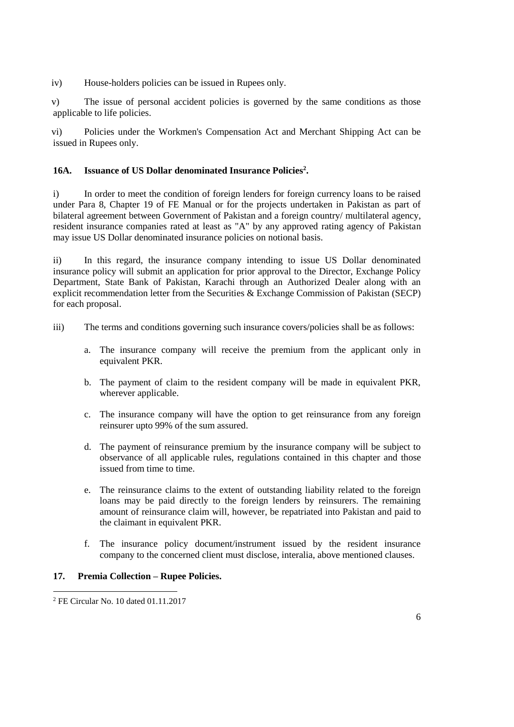iv) House-holders policies can be issued in Rupees only.

v) The issue of personal accident policies is governed by the same conditions as those applicable to life policies.

vi) Policies under the Workmen's Compensation Act and Merchant Shipping Act can be issued in Rupees only.

# **16A. Issuance of US Dollar denominated Insurance Policies<sup>2</sup> .**

i) In order to meet the condition of foreign lenders for foreign currency loans to be raised under Para 8, Chapter 19 of FE Manual or for the projects undertaken in Pakistan as part of bilateral agreement between Government of Pakistan and a foreign country/ multilateral agency, resident insurance companies rated at least as "A" by any approved rating agency of Pakistan may issue US Dollar denominated insurance policies on notional basis.

ii) In this regard, the insurance company intending to issue US Dollar denominated insurance policy will submit an application for prior approval to the Director, Exchange Policy Department, State Bank of Pakistan, Karachi through an Authorized Dealer along with an explicit recommendation letter from the Securities & Exchange Commission of Pakistan (SECP) for each proposal.

- iii) The terms and conditions governing such insurance covers/policies shall be as follows:
	- a. The insurance company will receive the premium from the applicant only in equivalent PKR.
	- b. The payment of claim to the resident company will be made in equivalent PKR, wherever applicable.
	- c. The insurance company will have the option to get reinsurance from any foreign reinsurer upto 99% of the sum assured.
	- d. The payment of reinsurance premium by the insurance company will be subject to observance of all applicable rules, regulations contained in this chapter and those issued from time to time.
	- e. The reinsurance claims to the extent of outstanding liability related to the foreign loans may be paid directly to the foreign lenders by reinsurers. The remaining amount of reinsurance claim will, however, be repatriated into Pakistan and paid to the claimant in equivalent PKR.
	- f. The insurance policy document/instrument issued by the resident insurance company to the concerned client must disclose, interalia, above mentioned clauses.

## **17. Premia Collection – Rupee Policies.**

 $\overline{a}$ 

<sup>2</sup> FE Circular No. 10 dated 01.11.2017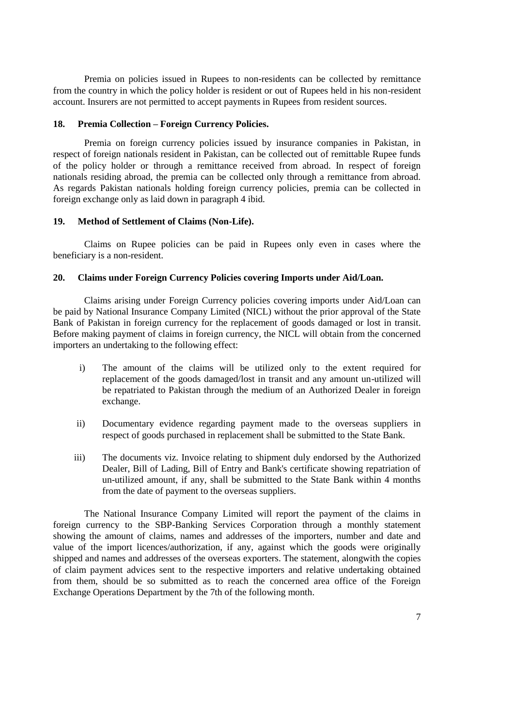Premia on policies issued in Rupees to non-residents can be collected by remittance from the country in which the policy holder is resident or out of Rupees held in his non-resident account. Insurers are not permitted to accept payments in Rupees from resident sources.

#### **18. Premia Collection – Foreign Currency Policies.**

Premia on foreign currency policies issued by insurance companies in Pakistan, in respect of foreign nationals resident in Pakistan, can be collected out of remittable Rupee funds of the policy holder or through a remittance received from abroad. In respect of foreign nationals residing abroad, the premia can be collected only through a remittance from abroad. As regards Pakistan nationals holding foreign currency policies, premia can be collected in foreign exchange only as laid down in paragraph 4 ibid.

## **19. Method of Settlement of Claims (Non-Life).**

Claims on Rupee policies can be paid in Rupees only even in cases where the beneficiary is a non-resident.

## **20. Claims under Foreign Currency Policies covering Imports under Aid/Loan.**

Claims arising under Foreign Currency policies covering imports under Aid/Loan can be paid by National Insurance Company Limited (NICL) without the prior approval of the State Bank of Pakistan in foreign currency for the replacement of goods damaged or lost in transit. Before making payment of claims in foreign currency, the NICL will obtain from the concerned importers an undertaking to the following effect:

- i) The amount of the claims will be utilized only to the extent required for replacement of the goods damaged/lost in transit and any amount un-utilized will be repatriated to Pakistan through the medium of an Authorized Dealer in foreign exchange.
- ii) Documentary evidence regarding payment made to the overseas suppliers in respect of goods purchased in replacement shall be submitted to the State Bank.
- iii) The documents viz. Invoice relating to shipment duly endorsed by the Authorized Dealer, Bill of Lading, Bill of Entry and Bank's certificate showing repatriation of un-utilized amount, if any, shall be submitted to the State Bank within 4 months from the date of payment to the overseas suppliers.

The National Insurance Company Limited will report the payment of the claims in foreign currency to the SBP-Banking Services Corporation through a monthly statement showing the amount of claims, names and addresses of the importers, number and date and value of the import licences/authorization, if any, against which the goods were originally shipped and names and addresses of the overseas exporters. The statement, alongwith the copies of claim payment advices sent to the respective importers and relative undertaking obtained from them, should be so submitted as to reach the concerned area office of the Foreign Exchange Operations Department by the 7th of the following month.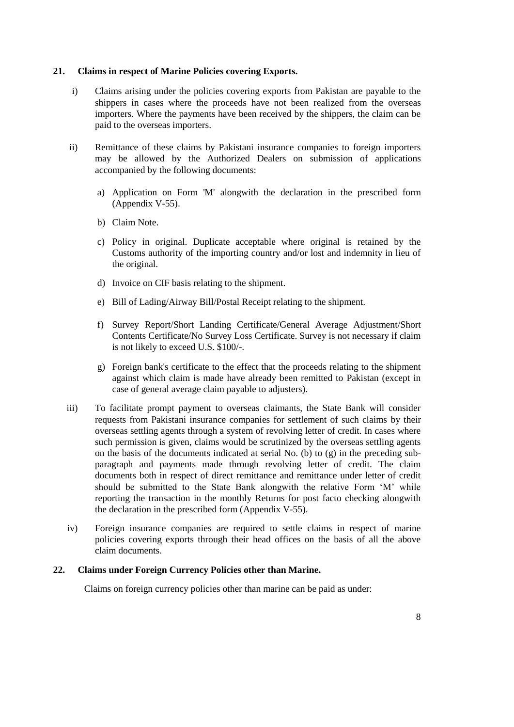## **21. Claims in respect of Marine Policies covering Exports.**

- i) Claims arising under the policies covering exports from Pakistan are payable to the shippers in cases where the proceeds have not been realized from the overseas importers. Where the payments have been received by the shippers, the claim can be paid to the overseas importers.
- ii) Remittance of these claims by Pakistani insurance companies to foreign importers may be allowed by the Authorized Dealers on submission of applications accompanied by the following documents:
	- a) Application on [Form 'M'](../../../shafiqur%20rehman/AppData/Local/Microsoft/Windows/Temporary%20Internet%20Files/appendix%20files/appendix%205/ap5-10.htm) alongwith the declaration in the prescribed form [\(Appendix](../../../shafiqur%20rehman/AppData/Local/Microsoft/Windows/Temporary%20Internet%20Files/appendix%20files/appendix%205/ap5-62.htm) V-55).
	- b) Claim Note.
	- c) Policy in original. Duplicate acceptable where original is retained by the Customs authority of the importing country and/or lost and indemnity in lieu of the original.
	- d) Invoice on CIF basis relating to the shipment.
	- e) Bill of Lading/Airway Bill/Postal Receipt relating to the shipment.
	- f) Survey Report/Short Landing Certificate/General Average Adjustment/Short Contents Certificate/No Survey Loss Certificate. Survey is not necessary if claim is not likely to exceed U.S. \$100/-.
	- g) Foreign bank's certificate to the effect that the proceeds relating to the shipment against which claim is made have already been remitted to Pakistan (except in case of general average claim payable to adjusters).
- iii) To facilitate prompt payment to overseas claimants, the State Bank will consider requests from Pakistani insurance companies for settlement of such claims by their overseas settling agents through a system of revolving letter of credit. In cases where such permission is given, claims would be scrutinized by the overseas settling agents on the basis of the documents indicated at serial No. (b) to (g) in the preceding subparagraph and payments made through revolving letter of credit. The claim documents both in respect of direct remittance and remittance under letter of credit should be submitted to the State Bank alongwith the relative Form 'M' while reporting the transaction in the monthly Returns for post facto checking alongwith the declaration in the prescribed form [\(Appendix](../../../shafiqur%20rehman/AppData/Local/Microsoft/Windows/Temporary%20Internet%20Files/appendix%20files/appendix%205/ap5-62.htm) V-55).
- iv) Foreign insurance companies are required to settle claims in respect of marine policies covering exports through their head offices on the basis of all the above claim documents.

## **22. Claims under Foreign Currency Policies other than Marine.**

Claims on foreign currency policies other than marine can be paid as under: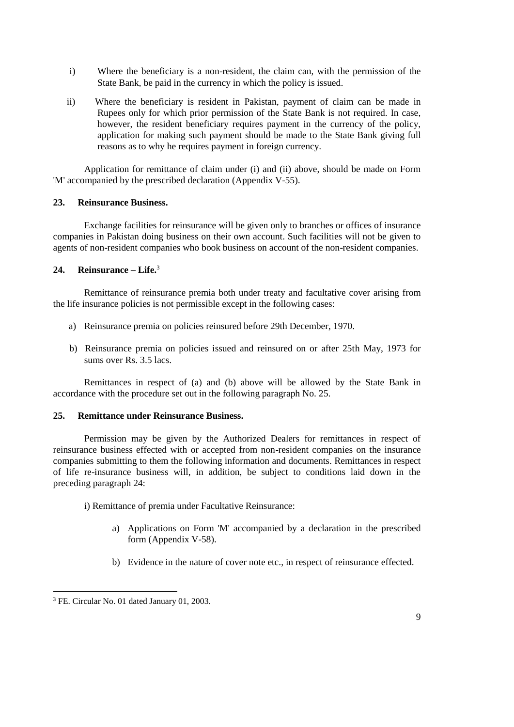- i) Where the beneficiary is a non-resident, the claim can, with the permission of the State Bank, be paid in the currency in which the policy is issued.
- ii) Where the beneficiary is resident in Pakistan, payment of claim can be made in Rupees only for which prior permission of the State Bank is not required. In case, however, the resident beneficiary requires payment in the currency of the policy, application for making such payment should be made to the State Bank giving full reasons as to why he requires payment in foreign currency.

Application for remittance of claim under (i) and (ii) above, should be made on Form 'M' accompanied by the prescribed declaration [\(Appendix](../../../shafiqur%20rehman/AppData/Local/Microsoft/Windows/Temporary%20Internet%20Files/appendix%20files/appendix%205/ap5-62.htm) V-55).

## **23. Reinsurance Business.**

Exchange facilities for reinsurance will be given only to branches or offices of insurance companies in Pakistan doing business on their own account. Such facilities will not be given to agents of non-resident companies who book business on account of the non-resident companies.

## **24. Reinsurance – Life.**<sup>3</sup>

Remittance of reinsurance premia both under treaty and facultative cover arising from the life insurance policies is not permissible except in the following cases:

- a) Reinsurance premia on policies reinsured before 29th December, 1970.
- b) Reinsurance premia on policies issued and reinsured on or after 25th May, 1973 for sums over Rs. 3.5 lacs.

Remittances in respect of (a) and (b) above will be allowed by the State Bank in accordance with the procedure set out in the following paragraph No. 25.

### **25. Remittance under Reinsurance Business.**

Permission may be given by the Authorized Dealers for remittances in respect of reinsurance business effected with or accepted from non-resident companies on the insurance companies submitting to them the following information and documents. Remittances in respect of life re-insurance business will, in addition, be subject to conditions laid down in the preceding paragraph 24:

- i) Remittance of premia under Facultative Reinsurance:
	- a) Applications on [Form 'M'](../../../shafiqur%20rehman/AppData/Local/Microsoft/Windows/Temporary%20Internet%20Files/appendix%20files/appendix%205/ap5-10.htm) accompanied by a declaration in the prescribed form [\(Appendix](../../../shafiqur%20rehman/AppData/Local/Microsoft/Windows/Temporary%20Internet%20Files/appendix%20files/appendix%205/ap5-63.htm) V-58).
	- b) Evidence in the nature of cover note etc., in respect of reinsurance effected.

 $\overline{a}$ 

<sup>&</sup>lt;sup>3</sup> FE. Circular No. 01 dated January 01, 2003.